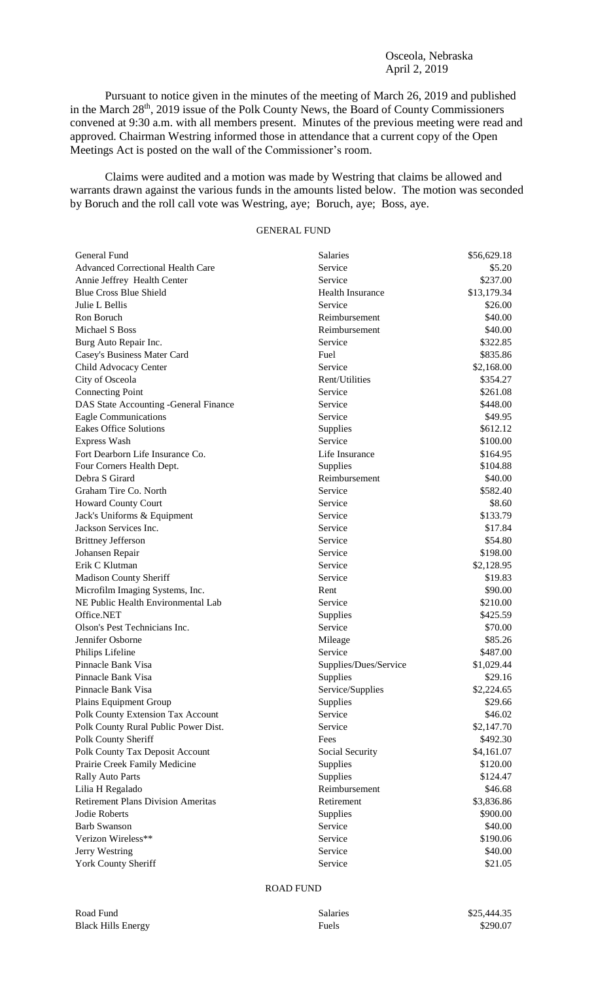## Osceola, Nebraska April 2, 2019

Pursuant to notice given in the minutes of the meeting of March 26, 2019 and published in the March 28<sup>th</sup>, 2019 issue of the Polk County News, the Board of County Commissioners convened at 9:30 a.m. with all members present. Minutes of the previous meeting were read and approved. Chairman Westring informed those in attendance that a current copy of the Open Meetings Act is posted on the wall of the Commissioner's room.

Claims were audited and a motion was made by Westring that claims be allowed and warrants drawn against the various funds in the amounts listed below. The motion was seconded by Boruch and the roll call vote was Westring, aye; Boruch, aye; Boss, aye.

# GENERAL FUND

| General Fund                              | <b>Salaries</b>       | \$56,629.18 |
|-------------------------------------------|-----------------------|-------------|
| <b>Advanced Correctional Health Care</b>  | Service               | \$5.20      |
| Annie Jeffrey Health Center               | Service               | \$237.00    |
| <b>Blue Cross Blue Shield</b>             | Health Insurance      | \$13,179.34 |
| Julie L Bellis                            | Service               | \$26.00     |
| Ron Boruch                                | Reimbursement         | \$40.00     |
| Michael S Boss                            | Reimbursement         | \$40.00     |
| Burg Auto Repair Inc.                     | Service               | \$322.85    |
| Casey's Business Mater Card               | Fuel                  | \$835.86    |
| Child Advocacy Center                     | Service               | \$2,168.00  |
| City of Osceola                           | Rent/Utilities        | \$354.27    |
| <b>Connecting Point</b>                   | Service               | \$261.08    |
| DAS State Accounting -General Finance     | Service               | \$448.00    |
| <b>Eagle Communications</b>               | Service               | \$49.95     |
| <b>Eakes Office Solutions</b>             | <b>Supplies</b>       | \$612.12    |
| Express Wash                              | Service               | \$100.00    |
| Fort Dearborn Life Insurance Co.          | Life Insurance        | \$164.95    |
| Four Corners Health Dept.                 | Supplies              | \$104.88    |
| Debra S Girard                            | Reimbursement         | \$40.00     |
| Graham Tire Co. North                     | Service               | \$582.40    |
| Howard County Court                       | Service               | \$8.60      |
| Jack's Uniforms & Equipment               | Service               | \$133.79    |
| Jackson Services Inc.                     | Service               | \$17.84     |
| <b>Brittney Jefferson</b>                 | Service               | \$54.80     |
| Johansen Repair                           | Service               | \$198.00    |
| Erik C Klutman                            | Service               | \$2,128.95  |
| Madison County Sheriff                    | Service               | \$19.83     |
| Microfilm Imaging Systems, Inc.           | Rent                  | \$90.00     |
| NE Public Health Environmental Lab        | Service               | \$210.00    |
| Office.NET                                | Supplies              | \$425.59    |
| Olson's Pest Technicians Inc.             | Service               | \$70.00     |
| Jennifer Osborne                          | Mileage               | \$85.26     |
| Philips Lifeline                          | Service               | \$487.00    |
| Pinnacle Bank Visa                        | Supplies/Dues/Service | \$1,029.44  |
| Pinnacle Bank Visa                        | <b>Supplies</b>       | \$29.16     |
| Pinnacle Bank Visa                        | Service/Supplies      | \$2,224.65  |
| Plains Equipment Group                    | Supplies              | \$29.66     |
| Polk County Extension Tax Account         | Service               | \$46.02     |
| Polk County Rural Public Power Dist.      | Service               | \$2,147.70  |
| Polk County Sheriff                       | Fees                  | \$492.30    |
| Polk County Tax Deposit Account           | Social Security       | \$4,161.07  |
| Prairie Creek Family Medicine             | Supplies              | \$120.00    |
| <b>Rally Auto Parts</b>                   | Supplies              | \$124.47    |
| Lilia H Regalado                          | Reimbursement         | \$46.68     |
| <b>Retirement Plans Division Ameritas</b> | Retirement            | \$3,836.86  |
| Jodie Roberts                             | Supplies              | \$900.00    |
| <b>Barb Swanson</b>                       | Service               | \$40.00     |
| Verizon Wireless**                        | Service               | \$190.06    |
| Jerry Westring                            | Service               | \$40.00     |
| <b>York County Sheriff</b>                | Service               | \$21.05     |

### ROAD FUND

| Road Fund                 | Salaries | \$25,444.35 |
|---------------------------|----------|-------------|
| <b>Black Hills Energy</b> | Fuels    | \$290.07    |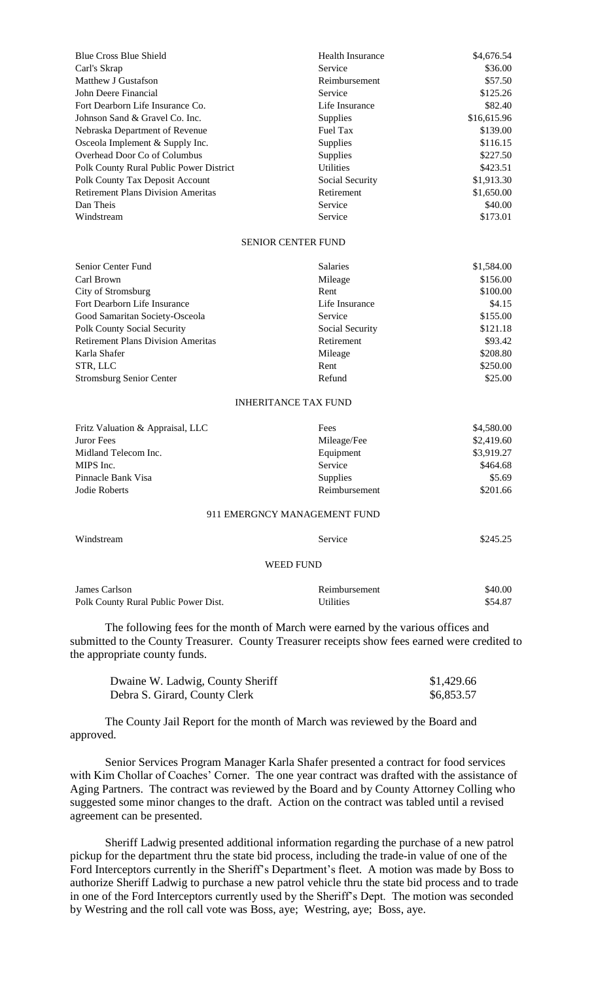| Blue Cross Blue Shield                    | <b>Health Insurance</b> | \$4,676.54  |
|-------------------------------------------|-------------------------|-------------|
| Carl's Skrap                              | Service                 | \$36.00     |
| Matthew J Gustafson                       | Reimbursement           | \$57.50     |
| John Deere Financial                      | Service                 | \$125.26    |
| Fort Dearborn Life Insurance Co.          | Life Insurance          | \$82.40     |
| Johnson Sand & Gravel Co. Inc.            | <b>Supplies</b>         | \$16,615.96 |
| Nebraska Department of Revenue            | Fuel Tax                | \$139.00    |
| Osceola Implement & Supply Inc.           | <b>Supplies</b>         | \$116.15    |
| Overhead Door Co of Columbus              | <b>Supplies</b>         | \$227.50    |
| Polk County Rural Public Power District   | <b>Utilities</b>        | \$423.51    |
| Polk County Tax Deposit Account           | Social Security         | \$1,913.30  |
| <b>Retirement Plans Division Ameritas</b> | Retirement              | \$1,650.00  |
| Dan Theis                                 | Service                 | \$40.00     |
| Windstream                                | Service                 | \$173.01    |

#### SENIOR CENTER FUND

| Senior Center Fund                        | <b>Salaries</b> | \$1,584.00 |
|-------------------------------------------|-----------------|------------|
| Carl Brown                                | Mileage         | \$156.00   |
| City of Stromsburg                        | Rent            | \$100.00   |
| Fort Dearborn Life Insurance              | Life Insurance  | \$4.15     |
| Good Samaritan Society-Osceola            | Service         | \$155.00   |
| <b>Polk County Social Security</b>        | Social Security | \$121.18   |
| <b>Retirement Plans Division Ameritas</b> | Retirement      | \$93.42    |
| Karla Shafer                              | Mileage         | \$208.80   |
| STR, LLC                                  | Rent            | \$250.00   |
| <b>Stromsburg Senior Center</b>           | Refund          | \$25.00    |

#### INHERITANCE TAX FUND

| Fritz Valuation & Appraisal, LLC | Fees            | \$4,580.00 |
|----------------------------------|-----------------|------------|
| Juror Fees                       | Mileage/Fee     | \$2,419.60 |
| Midland Telecom Inc.             | Equipment       | \$3,919.27 |
| MIPS Inc.                        | Service         | \$464.68   |
| Pinnacle Bank Visa               | <b>Supplies</b> | \$5.69     |
| Jodie Roberts                    | Reimbursement   | \$201.66   |
|                                  |                 |            |

## 911 EMERGNCY MANAGEMENT FUND

| Windstream                           | Service          | \$245.25 |
|--------------------------------------|------------------|----------|
|                                      | WEED FUND        |          |
| James Carlson                        | Reimbursement    | \$40.00  |
| Polk County Rural Public Power Dist. | <b>Utilities</b> | \$54.87  |

The following fees for the month of March were earned by the various offices and submitted to the County Treasurer. County Treasurer receipts show fees earned were credited to the appropriate county funds.

| Dwaine W. Ladwig, County Sheriff | \$1,429.66 |
|----------------------------------|------------|
| Debra S. Girard, County Clerk    | \$6,853.57 |

The County Jail Report for the month of March was reviewed by the Board and approved.

Senior Services Program Manager Karla Shafer presented a contract for food services with Kim Chollar of Coaches' Corner. The one year contract was drafted with the assistance of Aging Partners. The contract was reviewed by the Board and by County Attorney Colling who suggested some minor changes to the draft. Action on the contract was tabled until a revised agreement can be presented.

Sheriff Ladwig presented additional information regarding the purchase of a new patrol pickup for the department thru the state bid process, including the trade-in value of one of the Ford Interceptors currently in the Sheriff's Department's fleet. A motion was made by Boss to authorize Sheriff Ladwig to purchase a new patrol vehicle thru the state bid process and to trade in one of the Ford Interceptors currently used by the Sheriff's Dept. The motion was seconded by Westring and the roll call vote was Boss, aye; Westring, aye; Boss, aye.